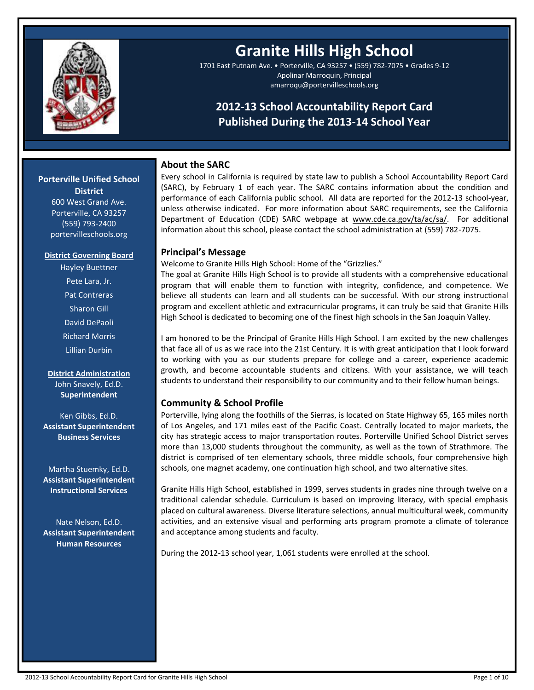

**--**

# **Granite Hills High School**

1701 East Putnam Ave. • Porterville, CA 93257 • (559) 782-7075 • Grades 9-12 Apolinar Marroquin, Principal amarroqu@portervilleschools.org

# **2012-13 School Accountability Report Card Published During the 2013-14 School Year**

# **About the SARC**

Every school in California is required by state law to publish a School Accountability Report Card (SARC), by February 1 of each year. The SARC contains information about the condition and performance of each California public school. All data are reported for the 2012-13 school-year, unless otherwise indicated. For more information about SARC requirements, see the California Department of Education (CDE) SARC webpage at www.cde.ca.gov/ta/ac/sa/. For additional information about this school, please contact the school administration at (559) 782-7075.

# **Principal's Message**

Welcome to Granite Hills High School: Home of the "Grizzlies."

The goal at Granite Hills High School is to provide all students with a comprehensive educational program that will enable them to function with integrity, confidence, and competence. We believe all students can learn and all students can be successful. With our strong instructional program and excellent athletic and extracurricular programs, it can truly be said that Granite Hills High School is dedicated to becoming one of the finest high schools in the San Joaquin Valley.

I am honored to be the Principal of Granite Hills High School. I am excited by the new challenges that face all of us as we race into the 21st Century. It is with great anticipation that I look forward to working with you as our students prepare for college and a career, experience academic growth, and become accountable students and citizens. With your assistance, we will teach students to understand their responsibility to our community and to their fellow human beings.

# **Community & School Profile**

Porterville, lying along the foothills of the Sierras, is located on State Highway 65, 165 miles north of Los Angeles, and 171 miles east of the Pacific Coast. Centrally located to major markets, the city has strategic access to major transportation routes. Porterville Unified School District serves more than 13,000 students throughout the community, as well as the town of Strathmore. The district is comprised of ten elementary schools, three middle schools, four comprehensive high schools, one magnet academy, one continuation high school, and two alternative sites.

Granite Hills High School, established in 1999, serves students in grades nine through twelve on a traditional calendar schedule. Curriculum is based on improving literacy, with special emphasis placed on cultural awareness. Diverse literature selections, annual multicultural week, community activities, and an extensive visual and performing arts program promote a climate of tolerance and acceptance among students and faculty.

During the 2012-13 school year, 1,061 students were enrolled at the school.

**Porterville Unified School District**

> 600 West Grand Ave. Porterville, CA 93257 (559) 793-2400 portervilleschools.org

#### **District Governing Board**

Hayley Buettner Pete Lara, Jr. Pat Contreras Sharon Gill David DePaoli Richard Morris Lillian Durbin

**District Administration** John Snavely, Ed.D. **Superintendent**

Ken Gibbs, Ed.D. **Assistant Superintendent Business Services**

Martha Stuemky, Ed.D. **Assistant Superintendent Instructional Services**

Nate Nelson, Ed.D. **Assistant Superintendent Human Resources**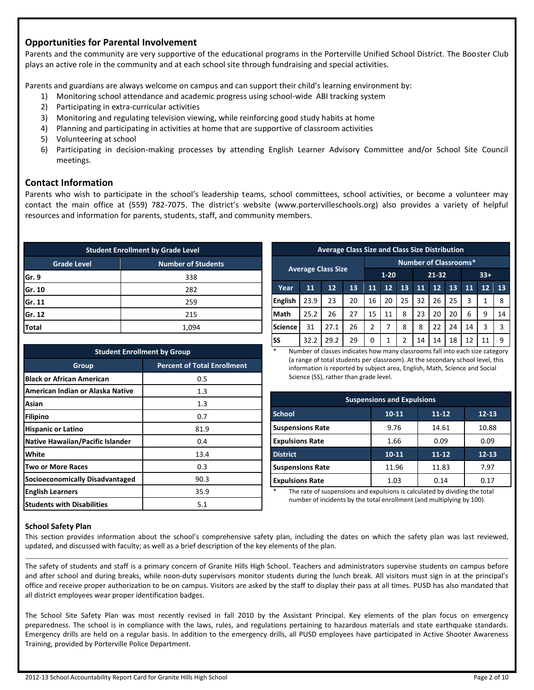# **Opportunities for Parental Involvement**

Parents and the community are very supportive of the educational programs in the Porterville Unified School District. The Booster Club plays an active role in the community and at each school site through fundraising and special activities.

Parents and guardians are always welcome on campus and can support their child's learning environment by:

- 1) Monitoring school attendance and academic progress using school-wide ABI tracking system
- 2) Participating in extra-curricular activities
- 3) Monitoring and regulating television viewing, while reinforcing good study habits at home
- 4) Planning and participating in activities at home that are supportive of classroom activities
- 5) Volunteering at school
- 6) Participating in decision-making processes by attending English Learner Advisory Committee and/or School Site Council meetings.

## **Contact Information**

Parents who wish to participate in the school's leadership teams, school committees, school activities, or become a volunteer may contact the main office at (559) 782-7075. The district's website (www.portervilleschools.org) also provides a variety of helpful resources and information for parents, students, staff, and community members.

| <b>Student Enrollment by Grade Level</b>        |       |  |  |  |
|-------------------------------------------------|-------|--|--|--|
| <b>Number of Students</b><br><b>Grade Level</b> |       |  |  |  |
| Gr. 9                                           | 338   |  |  |  |
| Gr. 10<br>282                                   |       |  |  |  |
| Gr. 11<br>259                                   |       |  |  |  |
| Gr. 12<br>215                                   |       |  |  |  |
| Total                                           | 1.094 |  |  |  |

| <b>Student Enrollment by Group</b>     |                                    |  |  |  |
|----------------------------------------|------------------------------------|--|--|--|
| Group                                  | <b>Percent of Total Enrollment</b> |  |  |  |
| <b>Black or African American</b>       | 0.5                                |  |  |  |
| American Indian or Alaska Native       | 1.3                                |  |  |  |
| Asian                                  | 1.3                                |  |  |  |
| <b>Filipino</b>                        | 0.7                                |  |  |  |
| <b>Hispanic or Latino</b>              | 81.9                               |  |  |  |
| Native Hawaiian/Pacific Islander       | 0.4                                |  |  |  |
| White                                  | 13.4                               |  |  |  |
| Two or More Races                      | 0.3                                |  |  |  |
| <b>Socioeconomically Disadvantaged</b> | 90.3                               |  |  |  |
| <b>English Learners</b>                | 35.9                               |  |  |  |
| <b>Students with Disabilities</b>      | 5.1                                |  |  |  |

|                              | <b>Average Class Size and Class Size Distribution</b> |      |                                |               |    |               |    |    |    |    |    |    |
|------------------------------|-------------------------------------------------------|------|--------------------------------|---------------|----|---------------|----|----|----|----|----|----|
| <b>Number of Classrooms*</b> |                                                       |      |                                |               |    |               |    |    |    |    |    |    |
| <b>Average Class Size</b>    |                                                       |      | $1 - 20$<br>$21 - 32$<br>$33+$ |               |    |               |    |    |    |    |    |    |
| Year                         | 11                                                    | 12   | 13                             | 11            | 12 | 13            | 11 | 12 | 13 | 11 | 12 | 13 |
| <b>English</b>               | 23.9                                                  | 23   | 20                             | 16            | 20 | 25            | 32 | 26 | 25 | 3  | 1  | 8  |
| Math                         | 25.2                                                  | 26   | 27                             | 15            | 11 | 8             | 23 | 20 | 20 | 6  | 9  | 14 |
| <b>Science</b>               | 31                                                    | 27.1 | 26                             | $\mathfrak z$ | 7  | 8             | 8  | 22 | 24 | 14 | 3  | 3  |
| SS                           | 32.2                                                  | 29.2 | 29                             | 0             | 1  | $\mathfrak z$ | 14 | 14 | 18 | 12 | 11 | 9  |

Number of classes indicates how many classrooms fall into each size category (a range of total students per classroom). At the secondary school level, this information is reported by subject area, English, Math, Science and Social Science (SS), rather than grade level.

| <b>Suspensions and Expulsions</b> |                                     |           |           |  |  |  |  |
|-----------------------------------|-------------------------------------|-----------|-----------|--|--|--|--|
| <b>School</b>                     | $10 - 11$<br>$12 - 13$<br>$11 - 12$ |           |           |  |  |  |  |
| <b>Suspensions Rate</b>           | 9.76                                | 14.61     | 10.88     |  |  |  |  |
| <b>Expulsions Rate</b>            | 1.66                                | 0.09      | 0.09      |  |  |  |  |
| <b>District</b>                   | $10 - 11$                           | $11 - 12$ | $12 - 13$ |  |  |  |  |
| <b>Suspensions Rate</b>           | 11.96                               | 11.83     | 7.97      |  |  |  |  |
| <b>Expulsions Rate</b>            | 1.03                                | 0.14      | 0.17      |  |  |  |  |

The rate of suspensions and expulsions is calculated by dividing the total number of incidents by the total enrollment (and multiplying by 100).

#### **School Safety Plan**

This section provides information about the school's comprehensive safety plan, including the dates on which the safety plan was last reviewed, updated, and discussed with faculty; as well as a brief description of the key elements of the plan.

The safety of students and staff is a primary concern of Granite Hills High School. Teachers and administrators supervise students on campus before and after school and during breaks, while noon-duty supervisors monitor students during the lunch break. All visitors must sign in at the principal's office and receive proper authorization to be on campus. Visitors are asked by the staff to display their pass at all times. PUSD has also mandated that all district employees wear proper identification badges.

The School Site Safety Plan was most recently revised in fall 2010 by the Assistant Principal. Key elements of the plan focus on emergency preparedness. The school is in compliance with the laws, rules, and regulations pertaining to hazardous materials and state earthquake standards. Emergency drills are held on a regular basis. In addition to the emergency drills, all PUSD employees have participated in Active Shooter Awareness Training, provided by Porterville Police Department.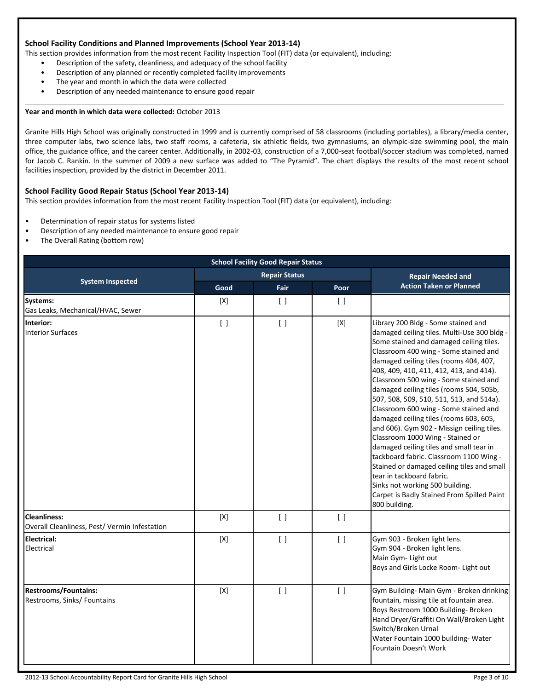#### **School Facility Conditions and Planned Improvements (School Year 2013-14)**

This section provides information from the most recent Facility Inspection Tool (FIT) data (or equivalent), including:

- Description of the safety, cleanliness, and adequacy of the school facility
- Description of any planned or recently completed facility improvements
- The year and month in which the data were collected
- Description of any needed maintenance to ensure good repair

#### **Year and month in which data were collected:** October 2013

Granite Hills High School was originally constructed in 1999 and is currently comprised of 58 classrooms (including portables), a library/media center, three computer labs, two science labs, two staff rooms, a cafeteria, six athletic fields, two gymnasiums, an olympic-size swimming pool, the main office, the guidance office, and the career center. Additionally, in 2002-03, construction of a 7,000-seat football/soccer stadium was completed, named for Jacob C. Rankin. In the summer of 2009 a new surface was added to "The Pyramid". The chart displays the results of the most recent school facilities inspection, provided by the district in December 2011.

#### **School Facility Good Repair Status (School Year 2013-14)**

This section provides information from the most recent Facility Inspection Tool (FIT) data (or equivalent), including:

- Determination of repair status for systems listed
- Description of any needed maintenance to ensure good repair
- The Overall Rating (bottom row)

|                                                                      | <b>School Facility Good Repair Status</b> |                                 |                                 |                                                                                                                                                                                                                                                                                                                                                                                                                                                                                                                                                                                                                                                                                                                                                                                                                                     |  |  |
|----------------------------------------------------------------------|-------------------------------------------|---------------------------------|---------------------------------|-------------------------------------------------------------------------------------------------------------------------------------------------------------------------------------------------------------------------------------------------------------------------------------------------------------------------------------------------------------------------------------------------------------------------------------------------------------------------------------------------------------------------------------------------------------------------------------------------------------------------------------------------------------------------------------------------------------------------------------------------------------------------------------------------------------------------------------|--|--|
|                                                                      |                                           | <b>Repair Status</b>            |                                 | <b>Repair Needed and</b>                                                                                                                                                                                                                                                                                                                                                                                                                                                                                                                                                                                                                                                                                                                                                                                                            |  |  |
| <b>System Inspected</b>                                              | Good                                      | Fair                            | Poor                            | <b>Action Taken or Planned</b>                                                                                                                                                                                                                                                                                                                                                                                                                                                                                                                                                                                                                                                                                                                                                                                                      |  |  |
| Systems:<br>Gas Leaks, Mechanical/HVAC, Sewer                        | [X]                                       | $\lceil$                        | $\lceil$                        |                                                                                                                                                                                                                                                                                                                                                                                                                                                                                                                                                                                                                                                                                                                                                                                                                                     |  |  |
| Interior:<br><b>Interior Surfaces</b>                                | $\begin{bmatrix} \end{bmatrix}$           | $\begin{bmatrix} \end{bmatrix}$ | [X]                             | Library 200 Bldg - Some stained and<br>damaged ceiling tiles. Multi-Use 300 bldg -<br>Some stained and damaged ceiling tiles.<br>Classroom 400 wing - Some stained and<br>damaged ceiling tiles (rooms 404, 407,<br>408, 409, 410, 411, 412, 413, and 414).<br>Classroom 500 wing - Some stained and<br>damaged ceiling tiles (rooms 504, 505b,<br>507, 508, 509, 510, 511, 513, and 514a).<br>Classroom 600 wing - Some stained and<br>damaged ceiling tiles (rooms 603, 605,<br>and 606). Gym 902 - Missign ceiling tiles.<br>Classroom 1000 Wing - Stained or<br>damaged ceiling tiles and small tear in<br>tackboard fabric. Classroom 1100 Wing -<br>Stained or damaged ceiling tiles and small<br>tear in tackboard fabric.<br>Sinks not working 500 building.<br>Carpet is Badly Stained From Spilled Paint<br>800 building. |  |  |
| <b>Cleanliness:</b><br>Overall Cleanliness, Pest/ Vermin Infestation | $[{\sf X}]$                               | $\lceil$ $\rceil$               | $\left[ \ \right]$              |                                                                                                                                                                                                                                                                                                                                                                                                                                                                                                                                                                                                                                                                                                                                                                                                                                     |  |  |
| <b>Electrical:</b><br>Electrical                                     | $[{\sf X}]$                               | $\left[ \ \right]$              | $\begin{bmatrix} \end{bmatrix}$ | Gym 903 - Broken light lens.<br>Gym 904 - Broken light lens.<br>Main Gym- Light out<br>Boys and Girls Locke Room- Light out                                                                                                                                                                                                                                                                                                                                                                                                                                                                                                                                                                                                                                                                                                         |  |  |
| <b>Restrooms/Fountains:</b><br>Restrooms, Sinks/ Fountains           | $[{\sf X}]$                               | $\begin{bmatrix} \end{bmatrix}$ | $\left[ \ \right]$              | Gym Building- Main Gym - Broken drinking<br>fountain, missing tile at fountain area.<br>Boys Restroom 1000 Building- Broken<br>Hand Dryer/Graffiti On Wall/Broken Light<br>Switch/Broken Urnal<br>Water Fountain 1000 building- Water<br>Fountain Doesn't Work                                                                                                                                                                                                                                                                                                                                                                                                                                                                                                                                                                      |  |  |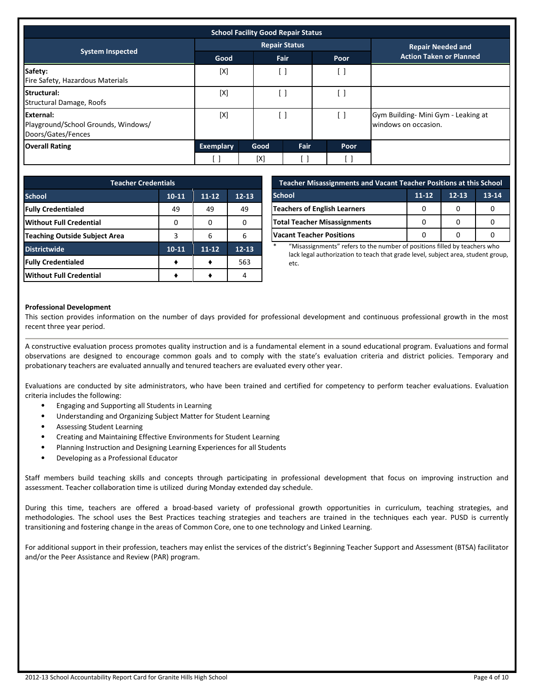| <b>School Facility Good Repair Status</b>                              |                  |      |                      |                          |                                                             |
|------------------------------------------------------------------------|------------------|------|----------------------|--------------------------|-------------------------------------------------------------|
|                                                                        |                  |      | <b>Repair Status</b> | <b>Repair Needed and</b> |                                                             |
| <b>System Inspected</b>                                                | Good             |      | <b>Fair</b>          | Poor                     | <b>Action Taken or Planned</b>                              |
| Safety:<br>Fire Safety, Hazardous Materials                            | [X]              |      | - 1                  |                          |                                                             |
| <b>Structural:</b><br><b>Structural Damage, Roofs</b>                  | [X]              |      |                      |                          |                                                             |
| External:<br>Playground/School Grounds, Windows/<br>Doors/Gates/Fences | [X]              |      |                      |                          | Gym Building- Mini Gym - Leaking at<br>windows on occasion. |
| <b>Overall Rating</b>                                                  | <b>Exemplary</b> | Good | Fair                 | Poor                     |                                                             |
|                                                                        |                  | [X]  |                      |                          |                                                             |

| <b>Teacher Credentials</b>                         |           |           |           |  |  |  |  |
|----------------------------------------------------|-----------|-----------|-----------|--|--|--|--|
| <b>School</b><br>$10-11$<br>$11 - 12$<br>$12 - 13$ |           |           |           |  |  |  |  |
| <b>Fully Credentialed</b>                          | 49        | 49        | 49        |  |  |  |  |
| <b>Without Full Credential</b>                     |           |           | n         |  |  |  |  |
| <b>Teaching Outside Subject Area</b>               | 3         | 6         | 6         |  |  |  |  |
| <b>Districtwide</b>                                | $10 - 11$ | $11 - 12$ | $12 - 13$ |  |  |  |  |
| <b>Fully Credentialed</b>                          |           |           | 563       |  |  |  |  |
| <b>Without Full Credential</b>                     |           |           |           |  |  |  |  |

| <b>Teacher Misassignments and Vacant Teacher Positions at this School</b> |  |   |  |  |  |  |
|---------------------------------------------------------------------------|--|---|--|--|--|--|
| $11 - 12$<br>$12 - 13$<br><b>School</b><br>13-14                          |  |   |  |  |  |  |
| <b>Teachers of English Learners</b>                                       |  |   |  |  |  |  |
| <b>Total Teacher Misassignments</b>                                       |  | O |  |  |  |  |
| <b>Vacant Teacher Positions</b>                                           |  |   |  |  |  |  |

"Misassignments" refers to the number of positions filled by teachers who lack legal authorization to teach that grade level, subject area, student group, etc.

#### **Professional Development**

This section provides information on the number of days provided for professional development and continuous professional growth in the most recent three year period.

A constructive evaluation process promotes quality instruction and is a fundamental element in a sound educational program. Evaluations and formal observations are designed to encourage common goals and to comply with the state's evaluation criteria and district policies. Temporary and probationary teachers are evaluated annually and tenured teachers are evaluated every other year.

Evaluations are conducted by site administrators, who have been trained and certified for competency to perform teacher evaluations. Evaluation criteria includes the following:

- Engaging and Supporting all Students in Learning
- Understanding and Organizing Subject Matter for Student Learning
- Assessing Student Learning
- Creating and Maintaining Effective Environments for Student Learning
- Planning Instruction and Designing Learning Experiences for all Students
- Developing as a Professional Educator

Staff members build teaching skills and concepts through participating in professional development that focus on improving instruction and assessment. Teacher collaboration time is utilized during Monday extended day schedule.

During this time, teachers are offered a broad-based variety of professional growth opportunities in curriculum, teaching strategies, and methodologies. The school uses the Best Practices teaching strategies and teachers are trained in the techniques each year. PUSD is currently transitioning and fostering change in the areas of Common Core, one to one technology and Linked Learning.

For additional support in their profession, teachers may enlist the services of the district's Beginning Teacher Support and Assessment (BTSA) facilitator and/or the Peer Assistance and Review (PAR) program.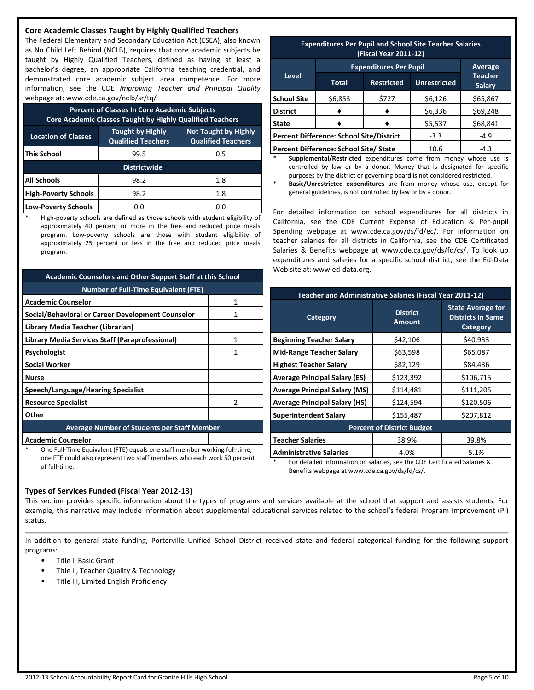#### **Core Academic Classes Taught by Highly Qualified Teachers**

The Federal Elementary and Secondary Education Act (ESEA), also known as No Child Left Behind (NCLB), requires that core academic subjects be taught by Highly Qualified Teachers, defined as having at least a bachelor's degree, an appropriate California teaching credential, and demonstrated core academic subject area competence. For more information, see the CDE *Improving Teacher and Principal Quality* webpage at: www.cde.ca.gov/nclb/sr/tq/

| <b>Percent of Classes In Core Academic Subjects</b><br><b>Core Academic Classes Taught by Highly Qualified Teachers</b> |                                                                                                                  |     |  |  |  |
|-------------------------------------------------------------------------------------------------------------------------|------------------------------------------------------------------------------------------------------------------|-----|--|--|--|
| <b>Location of Classes</b>                                                                                              | <b>Taught by Highly</b><br><b>Not Taught by Highly</b><br><b>Qualified Teachers</b><br><b>Qualified Teachers</b> |     |  |  |  |
| <b>This School</b>                                                                                                      | 99.5                                                                                                             | 0.5 |  |  |  |
| <b>Districtwide</b>                                                                                                     |                                                                                                                  |     |  |  |  |
| <b>All Schools</b>                                                                                                      | 98.2                                                                                                             | 1.8 |  |  |  |
| <b>High-Poverty Schools</b>                                                                                             | 98.2                                                                                                             | 1.8 |  |  |  |
| Low-Poverty Schools                                                                                                     | 0.0                                                                                                              | 0.0 |  |  |  |

High-poverty schools are defined as those schools with student eligibility of approximately 40 percent or more in the free and reduced price meals program. Low-poverty schools are those with student eligibility of approximately 25 percent or less in the free and reduced price meals program.

| <b>Academic Counselors and Other Support Staff at this School</b> |   |  |  |  |
|-------------------------------------------------------------------|---|--|--|--|
| <b>Number of Full-Time Equivalent (FTE)</b>                       |   |  |  |  |
| <b>Academic Counselor</b>                                         |   |  |  |  |
| Social/Behavioral or Career Development Counselor                 |   |  |  |  |
| Library Media Teacher (Librarian)                                 |   |  |  |  |
| Library Media Services Staff (Paraprofessional)                   | 1 |  |  |  |
| Psychologist                                                      |   |  |  |  |
| <b>Social Worker</b>                                              |   |  |  |  |
| Nurse                                                             |   |  |  |  |
| Speech/Language/Hearing Specialist                                |   |  |  |  |
| <b>Resource Specialist</b>                                        |   |  |  |  |
| Other                                                             |   |  |  |  |
| <b>Average Number of Students per Staff Member</b>                |   |  |  |  |
| <b>Academic Counselor</b>                                         |   |  |  |  |

One Full-Time Equivalent (FTE) equals one staff member working full-time; one FTE could also represent two staff members who each work 50 percent of full-time.

| <b>Expenditures Per Pupil and School Site Teacher Salaries</b><br>(Fiscal Year 2011-12) |                                        |                   |                                 |          |  |
|-----------------------------------------------------------------------------------------|----------------------------------------|-------------------|---------------------------------|----------|--|
| <b>Expenditures Per Pupil</b><br>Average                                                |                                        |                   |                                 |          |  |
| Level                                                                                   | <b>Total</b>                           | <b>Restricted</b> | <b>Teacher</b><br><b>Salary</b> |          |  |
| <b>School Site</b>                                                                      | \$6,853                                | \$727             | \$6,126                         | \$65,867 |  |
| <b>District</b>                                                                         |                                        |                   | \$6,336                         | \$69,248 |  |
| <b>State</b>                                                                            | \$5,537                                |                   |                                 | \$68,841 |  |
| <b>Percent Difference: School Site/District</b><br>$-3.3$<br>$-4.9$                     |                                        |                   |                                 |          |  |
|                                                                                         | Percent Difference: School Site/ State |                   | 10.6                            | $-4.3$   |  |

Supplemental/Restricted expenditures come from money whose use is controlled by law or by a donor. Money that is designated for specific purposes by the district or governing board is not considered restricted.

Basic/Unrestricted expenditures are from money whose use, except for general guidelines, is not controlled by law or by a donor.

For detailed information on school expenditures for all districts in California, see the CDE Current Expense of Education & Per-pupil Spending webpage at www.cde.ca.gov/ds/fd/ec/. For information on teacher salaries for all districts in California, see the CDE Certificated Salaries & Benefits webpage at www.cde.ca.gov/ds/fd/cs/. To look up expenditures and salaries for a specific school district, see the Ed-Data Web site at: www.ed-data.org.

| <b>Teacher and Administrative Salaries (Fiscal Year 2011-12)</b>              |                                  |                                                                  |  |  |  |
|-------------------------------------------------------------------------------|----------------------------------|------------------------------------------------------------------|--|--|--|
| Category                                                                      | <b>District</b><br><b>Amount</b> | <b>State Average for</b><br><b>Districts In Same</b><br>Category |  |  |  |
| <b>Beginning Teacher Salary</b>                                               | \$42,106                         | \$40,933                                                         |  |  |  |
| <b>Mid-Range Teacher Salary</b>                                               | \$63,598                         | \$65,087                                                         |  |  |  |
| <b>Highest Teacher Salary</b>                                                 | \$82,129                         | \$84,436                                                         |  |  |  |
| <b>Average Principal Salary (ES)</b>                                          | \$123,392                        | \$106,715                                                        |  |  |  |
| <b>Average Principal Salary (MS)</b>                                          | \$114,481                        | \$111,205                                                        |  |  |  |
| <b>Average Principal Salary (HS)</b>                                          | \$124,594                        | \$120,506                                                        |  |  |  |
| <b>Superintendent Salary</b>                                                  | \$155,487                        | \$207,812                                                        |  |  |  |
| <b>Percent of District Budget</b>                                             |                                  |                                                                  |  |  |  |
| <b>Teacher Salaries</b>                                                       | 38.9%                            | 39.8%                                                            |  |  |  |
| <b>Administrative Salaries</b>                                                | 4.0%                             | 5.1%                                                             |  |  |  |
| For detailed information on coloring can the CDE Cortificated Coloring 0<br>* |                                  |                                                                  |  |  |  |

\* For detailed information on salaries, see the CDE Certificated Salaries & Benefits webpage at www.cde.ca.gov/ds/fd/cs/.

#### **Types of Services Funded (Fiscal Year 2012-13)**

This section provides specific information about the types of programs and services available at the school that support and assists students. For example, this narrative may include information about supplemental educational services related to the school's federal Program Improvement (PI) status.

In addition to general state funding, Porterville Unified School District received state and federal categorical funding for the following support programs:

- Title I, Basic Grant
- Title II, Teacher Quality & Technology
- Title III, Limited English Proficiency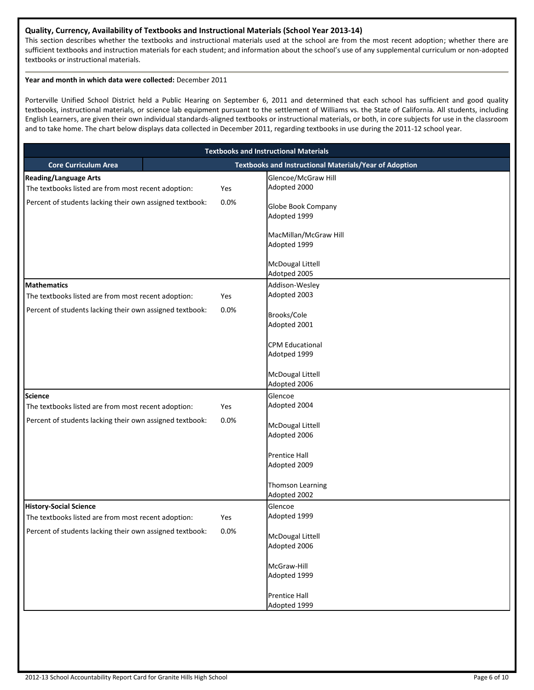#### **Quality, Currency, Availability of Textbooks and Instructional Materials (School Year 2013-14)**

This section describes whether the textbooks and instructional materials used at the school are from the most recent adoption; whether there are sufficient textbooks and instruction materials for each student; and information about the school's use of any supplemental curriculum or non-adopted textbooks or instructional materials.

#### **Year and month in which data were collected:** December 2011

Porterville Unified School District held a Public Hearing on September 6, 2011 and determined that each school has sufficient and good quality textbooks, instructional materials, or science lab equipment pursuant to the settlement of Williams vs. the State of California. All students, including English Learners, are given their own individual standards-aligned textbooks or instructional materials, or both, in core subjects for use in the classroom and to take home. The chart below displays data collected in December 2011, regarding textbooks in use during the 2011-12 school year.

| <b>Textbooks and Instructional Materials</b>                                         |      |                                                               |  |  |  |
|--------------------------------------------------------------------------------------|------|---------------------------------------------------------------|--|--|--|
| <b>Core Curriculum Area</b>                                                          |      | <b>Textbooks and Instructional Materials/Year of Adoption</b> |  |  |  |
| <b>Reading/Language Arts</b><br>The textbooks listed are from most recent adoption:  | Yes  | Glencoe/McGraw Hill<br>Adopted 2000                           |  |  |  |
| Percent of students lacking their own assigned textbook:                             | 0.0% | <b>Globe Book Company</b><br>Adopted 1999                     |  |  |  |
|                                                                                      |      | MacMillan/McGraw Hill<br>Adopted 1999                         |  |  |  |
|                                                                                      |      | <b>McDougal Littell</b><br>Adotped 2005                       |  |  |  |
| <b>Mathematics</b>                                                                   |      | Addison-Wesley                                                |  |  |  |
| The textbooks listed are from most recent adoption:                                  | Yes  | Adopted 2003                                                  |  |  |  |
| Percent of students lacking their own assigned textbook:                             | 0.0% | Brooks/Cole<br>Adopted 2001                                   |  |  |  |
|                                                                                      |      | <b>CPM Educational</b><br>Adotped 1999                        |  |  |  |
|                                                                                      |      | <b>McDougal Littell</b><br>Adopted 2006                       |  |  |  |
| <b>Science</b>                                                                       |      | Glencoe                                                       |  |  |  |
| The textbooks listed are from most recent adoption:                                  | Yes  | Adopted 2004                                                  |  |  |  |
| Percent of students lacking their own assigned textbook:                             | 0.0% | <b>McDougal Littell</b><br>Adopted 2006                       |  |  |  |
|                                                                                      |      | <b>Prentice Hall</b><br>Adopted 2009                          |  |  |  |
|                                                                                      |      | Thomson Learning<br>Adopted 2002                              |  |  |  |
| <b>History-Social Science</b><br>The textbooks listed are from most recent adoption: | Yes  | Glencoe<br>Adopted 1999                                       |  |  |  |
| Percent of students lacking their own assigned textbook:                             | 0.0% | <b>McDougal Littell</b><br>Adopted 2006                       |  |  |  |
|                                                                                      |      | McGraw-Hill<br>Adopted 1999                                   |  |  |  |
|                                                                                      |      | <b>Prentice Hall</b><br>Adopted 1999                          |  |  |  |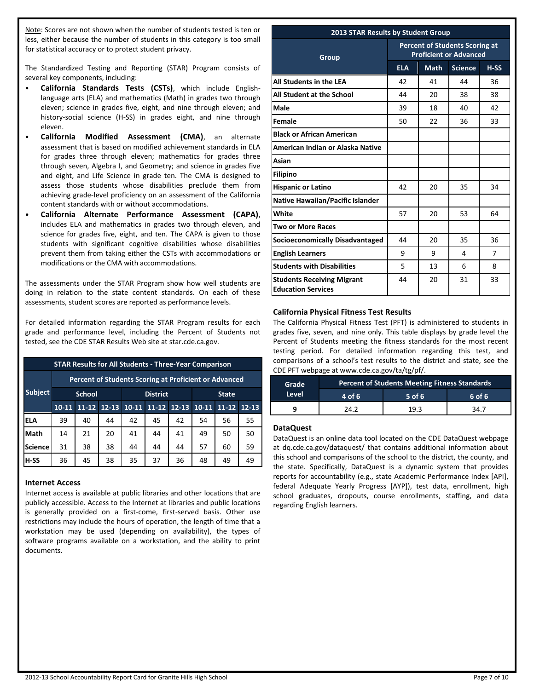Note: Scores are not shown when the number of students tested is ten or less, either because the number of students in this category is too small for statistical accuracy or to protect student privacy.

The Standardized Testing and Reporting (STAR) Program consists of several key components, including:

- **California Standards Tests (CSTs)**, which include Englishlanguage arts (ELA) and mathematics (Math) in grades two through eleven; science in grades five, eight, and nine through eleven; and history-social science (H-SS) in grades eight, and nine through eleven.
- **California Modified Assessment (CMA)**, an alternate assessment that is based on modified achievement standards in ELA for grades three through eleven; mathematics for grades three through seven, Algebra I, and Geometry; and science in grades five and eight, and Life Science in grade ten. The CMA is designed to assess those students whose disabilities preclude them from achieving grade-level proficiency on an assessment of the California content standards with or without accommodations.
- **California Alternate Performance Assessment (CAPA)**, includes ELA and mathematics in grades two through eleven, and science for grades five, eight, and ten. The CAPA is given to those students with significant cognitive disabilities whose disabilities prevent them from taking either the CSTs with accommodations or modifications or the CMA with accommodations.

The assessments under the STAR Program show how well students are doing in relation to the state content standards. On each of these assessments, student scores are reported as performance levels.

For detailed information regarding the STAR Program results for each grade and performance level, including the Percent of Students not tested, see the CDE STAR Results Web site at star.cde.ca.gov.

| <b>STAR Results for All Students - Three-Year Comparison</b> |                                                              |           |           |                            |           |           |           |           |    |
|--------------------------------------------------------------|--------------------------------------------------------------|-----------|-----------|----------------------------|-----------|-----------|-----------|-----------|----|
|                                                              | <b>Percent of Students Scoring at Proficient or Advanced</b> |           |           |                            |           |           |           |           |    |
| <b>Subject</b>                                               | <b>School</b><br><b>District</b><br><b>State</b>             |           |           |                            |           |           |           |           |    |
|                                                              | $10-11$                                                      | $11 - 12$ | $12 - 13$ | $10-11$                    | $11 - 12$ | $10 - 11$ | $11 - 12$ | $12 - 13$ |    |
| <b>ELA</b>                                                   | 39                                                           | 40        | 44        | 42                         | 45        | 42        | 54        | 56        | 55 |
| Math                                                         | 14                                                           | 21        | 20        | 41                         | 44        | 41        | 49        | 50        | 50 |
| <b>Science</b>                                               | 31                                                           | 38        | 38        | 57<br>44<br>44<br>60<br>44 |           |           |           |           |    |
| H-SS                                                         | 36                                                           | 45        | 38        | 35                         | 37        | 36        | 48        | 49        | 49 |

#### **Internet Access**

Internet access is available at public libraries and other locations that are publicly accessible. Access to the Internet at libraries and public locations is generally provided on a first-come, first-served basis. Other use restrictions may include the hours of operation, the length of time that a workstation may be used (depending on availability), the types of software programs available on a workstation, and the ability to print documents.

#### **2013 STAR Results by Student Group**

| Group                                                          | <b>Percent of Students Scoring at</b><br><b>Proficient or Advanced</b> |             |                |        |  |
|----------------------------------------------------------------|------------------------------------------------------------------------|-------------|----------------|--------|--|
|                                                                | <b>ELA</b>                                                             | <b>Math</b> | <b>Science</b> | $H-SS$ |  |
| All Students in the LEA                                        | 42                                                                     | 41          | 44             | 36     |  |
| All Student at the School                                      | 44                                                                     | 20          | 38             | 38     |  |
| Male                                                           | 39                                                                     | 18          | 40             | 42     |  |
| Female                                                         | 50                                                                     | 22          | 36             | 33     |  |
| <b>Black or African American</b>                               |                                                                        |             |                |        |  |
| American Indian or Alaska Native                               |                                                                        |             |                |        |  |
| Asian                                                          |                                                                        |             |                |        |  |
| <b>Filipino</b>                                                |                                                                        |             |                |        |  |
| <b>Hispanic or Latino</b>                                      | 42                                                                     | 20          | 35             | 34     |  |
| <b>Native Hawaiian/Pacific Islander</b>                        |                                                                        |             |                |        |  |
| White                                                          | 57                                                                     | 20          | 53             | 64     |  |
| <b>Two or More Races</b>                                       |                                                                        |             |                |        |  |
| <b>Socioeconomically Disadvantaged</b>                         | 44                                                                     | 20          | 35             | 36     |  |
| <b>English Learners</b>                                        | 9                                                                      | 9           | 4              | 7      |  |
| <b>Students with Disabilities</b>                              | 5                                                                      | 13          | 6              | 8      |  |
| <b>Students Receiving Migrant</b><br><b>Education Services</b> | 44                                                                     | 20          | 31             | 33     |  |

## **California Physical Fitness Test Results**

The California Physical Fitness Test (PFT) is administered to students in grades five, seven, and nine only. This table displays by grade level the Percent of Students meeting the fitness standards for the most recent testing period. For detailed information regarding this test, and comparisons of a school's test results to the district and state, see the CDE PFT webpage at www.cde.ca.gov/ta/tg/pf/.

| <b>Grade</b> | <b>Percent of Students Meeting Fitness Standards</b> |          |             |  |  |  |
|--------------|------------------------------------------------------|----------|-------------|--|--|--|
| Level        | $4$ of 6                                             | $5$ of 6 | $6$ of $6'$ |  |  |  |
|              | ว าว                                                 | 19.3     | 34.7        |  |  |  |

#### **DataQuest**

DataQuest is an online data tool located on the CDE DataQuest webpage at dq.cde.ca.gov/dataquest/ that contains additional information about this school and comparisons of the school to the district, the county, and the state. Specifically, DataQuest is a dynamic system that provides reports for accountability (e.g., state Academic Performance Index [API], federal Adequate Yearly Progress [AYP]), test data, enrollment, high school graduates, dropouts, course enrollments, staffing, and data regarding English learners.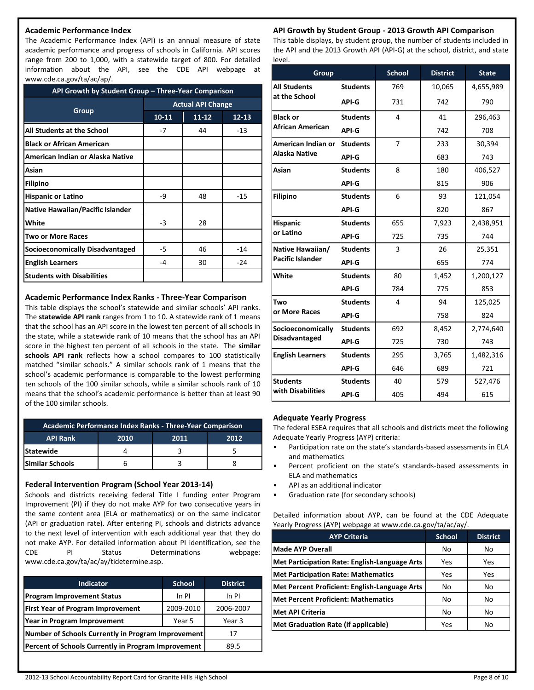#### **Academic Performance Index**

The Academic Performance Index (API) is an annual measure of state academic performance and progress of schools in California. API scores range from 200 to 1,000, with a statewide target of 800. For detailed information about the API, see the CDE API webpage at www.cde.ca.gov/ta/ac/ap/.

| API Growth by Student Group - Three-Year Comparison |                          |           |           |  |
|-----------------------------------------------------|--------------------------|-----------|-----------|--|
|                                                     | <b>Actual API Change</b> |           |           |  |
| Group                                               | $10 - 11$                | $11 - 12$ | $12 - 13$ |  |
| All Students at the School                          | $-7$                     | 44        | $-13$     |  |
| <b>Black or African American</b>                    |                          |           |           |  |
| American Indian or Alaska Native                    |                          |           |           |  |
| Asian                                               |                          |           |           |  |
| <b>Filipino</b>                                     |                          |           |           |  |
| <b>Hispanic or Latino</b>                           | -9                       | 48        | $-15$     |  |
| Native Hawaiian/Pacific Islander                    |                          |           |           |  |
| White                                               | $-3$                     | 28        |           |  |
| Two or More Races                                   |                          |           |           |  |
| <b>Socioeconomically Disadvantaged</b>              | $-5$                     | 46        | $-14$     |  |
| <b>English Learners</b>                             | -4                       | 30        | $-24$     |  |
| <b>Students with Disabilities</b>                   |                          |           |           |  |

#### **Academic Performance Index Ranks - Three-Year Comparison**

This table displays the school's statewide and similar schools' API ranks. The **statewide API rank** ranges from 1 to 10. A statewide rank of 1 means that the school has an API score in the lowest ten percent of all schools in the state, while a statewide rank of 10 means that the school has an API score in the highest ten percent of all schools in the state. The **similar schools API rank** reflects how a school compares to 100 statistically matched "similar schools." A similar schools rank of 1 means that the school's academic performance is comparable to the lowest performing ten schools of the 100 similar schools, while a similar schools rank of 10 means that the school's academic performance is better than at least 90 of the 100 similar schools.

| Academic Performance Index Ranks - Three-Year Comparison |                      |  |  |  |  |  |
|----------------------------------------------------------|----------------------|--|--|--|--|--|
| <b>API Rank</b>                                          | 2010<br>2012<br>2011 |  |  |  |  |  |
| <b>lStatewide</b>                                        |                      |  |  |  |  |  |
| lSimilar Schools                                         |                      |  |  |  |  |  |

#### **Federal Intervention Program (School Year 2013-14)**

Schools and districts receiving federal Title I funding enter Program Improvement (PI) if they do not make AYP for two consecutive years in the same content area (ELA or mathematics) or on the same indicator (API or graduation rate). After entering PI, schools and districts advance to the next level of intervention with each additional year that they do not make AYP. For detailed information about PI identification, see the CDE PI Status Determinations webpage: www.cde.ca.gov/ta/ac/ay/tidetermine.asp.

| <b>Indicator</b>                                    | <b>School</b> | <b>District</b> |
|-----------------------------------------------------|---------------|-----------------|
| <b>Program Improvement Status</b>                   | In PI         | In PI           |
| <b>First Year of Program Improvement</b>            | 2009-2010     | 2006-2007       |
| Year in Program Improvement<br>Year 5               |               | Year 3          |
| Number of Schools Currently in Program Improvement  | 17            |                 |
| Percent of Schools Currently in Program Improvement | 89.5          |                 |

# **API Growth by Student Group - 2013 Growth API Comparison**

This table displays, by student group, the number of students included in the API and the 2013 Growth API (API-G) at the school, district, and state level.

| Group                   |                 | <b>School</b>  | <b>District</b> | <b>State</b> |
|-------------------------|-----------------|----------------|-----------------|--------------|
| <b>All Students</b>     | <b>Students</b> | 769            | 10,065          | 4,655,989    |
| at the School           | API-G           | 731            | 742             | 790          |
| <b>Black or</b>         | <b>Students</b> | 4              | 41              | 296,463      |
| African American        | <b>API-G</b>    |                | 742             | 708          |
| American Indian or      | <b>Students</b> | $\overline{7}$ | 233             | 30,394       |
| Alaska Native           | API-G           |                | 683             | 743          |
| Asian                   | <b>Students</b> | 8              | 180             | 406,527      |
|                         | API-G           |                | 815             | 906          |
| <b>Filipino</b>         | <b>Students</b> | 6              | 93              | 121,054      |
|                         | API-G           |                | 820             | 867          |
| <b>Hispanic</b>         | <b>Students</b> | 655            | 7,923           | 2,438,951    |
| or Latino               | API-G           | 725            | 735             | 744          |
| Native Hawaiian/        | <b>Students</b> | 3              | 26              | 25,351       |
| <b>Pacific Islander</b> | API-G           |                | 655             | 774          |
| White                   | <b>Students</b> | 80             | 1,452           | 1,200,127    |
|                         | API-G           | 784            | 775             | 853          |
| Two                     | <b>Students</b> | 4              | 94              | 125,025      |
| or More Races           | API-G           |                | 758             | 824          |
| Socioeconomically       | <b>Students</b> | 692            | 8,452           | 2,774,640    |
| <b>Disadvantaged</b>    | API-G           | 725            | 730             | 743          |
| <b>English Learners</b> | <b>Students</b> | 295            | 3,765           | 1,482,316    |
|                         | API-G           | 646            | 689             | 721          |
| <b>Students</b>         | <b>Students</b> | 40             | 579             | 527,476      |
| with Disabilities       | <b>API-G</b>    | 405            | 494             | 615          |

## **Adequate Yearly Progress**

The federal ESEA requires that all schools and districts meet the following Adequate Yearly Progress (AYP) criteria:

- Participation rate on the state's standards-based assessments in ELA and mathematics
- Percent proficient on the state's standards-based assessments in ELA and mathematics
- API as an additional indicator
- Graduation rate (for secondary schools)

Detailed information about AYP, can be found at the CDE Adequate Yearly Progress (AYP) webpage at www.cde.ca.gov/ta/ac/ay/.

| <b>AYP Criteria</b>                           | <b>School</b> | <b>District</b> |
|-----------------------------------------------|---------------|-----------------|
| <b>Made AYP Overall</b>                       | No            | No              |
| Met Participation Rate: English-Language Arts | Yes           | Yes             |
| Met Participation Rate: Mathematics           | Yes           | Yes             |
| Met Percent Proficient: English-Language Arts | No            | No              |
| Met Percent Proficient: Mathematics           | No            | No              |
| <b>IMet API Criteria</b>                      | No            | No              |
| Met Graduation Rate (if applicable)           | Yes           | No              |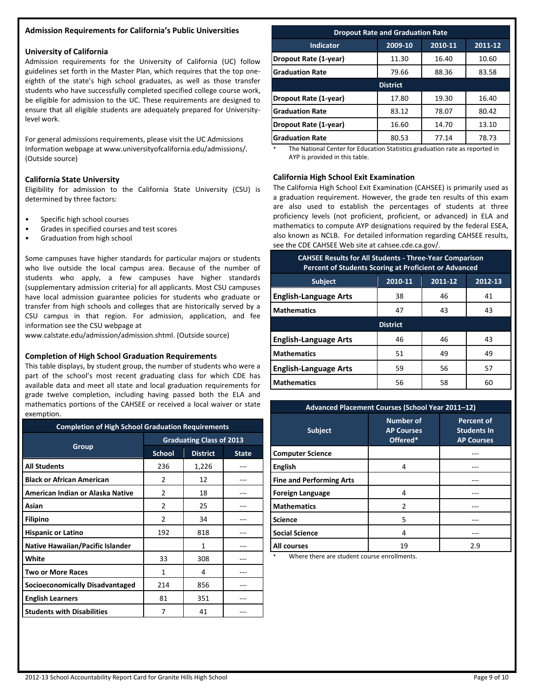#### **Admission Requirements for California's Public Universities**

#### **University of California**

Admission requirements for the University of California (UC) follow guidelines set forth in the Master Plan, which requires that the top oneeighth of the state's high school graduates, as well as those transfer students who have successfully completed specified college course work, be eligible for admission to the UC. These requirements are designed to ensure that all eligible students are adequately prepared for Universitylevel work.

For general admissions requirements, please visit the UC Admissions Information webpage at www.universityofcalifornia.edu/admissions/. (Outside source)

#### **California State University**

Eligibility for admission to the California State University (CSU) is determined by three factors:

- Specific high school courses
- Grades in specified courses and test scores
- Graduation from high school

Some campuses have higher standards for particular majors or students who live outside the local campus area. Because of the number of students who apply, a few campuses have higher standards (supplementary admission criteria) for all applicants. Most CSU campuses have local admission guarantee policies for students who graduate or transfer from high schools and colleges that are historically served by a CSU campus in that region. For admission, application, and fee information see the CSU webpage at

www.calstate.edu/admission/admission.shtml. (Outside source)

#### **Completion of High School Graduation Requirements**

This table displays, by student group, the number of students who were a part of the school's most recent graduating class for which CDE has available data and meet all state and local graduation requirements for grade twelve completion, including having passed both the ELA and mathematics portions of the CAHSEE or received a local waiver or state exemption.

| <b>Completion of High School Graduation Requirements</b> |                                 |                 |              |  |  |
|----------------------------------------------------------|---------------------------------|-----------------|--------------|--|--|
|                                                          | <b>Graduating Class of 2013</b> |                 |              |  |  |
| Group                                                    | <b>School</b>                   | <b>District</b> | <b>State</b> |  |  |
| <b>All Students</b>                                      | 236                             | 1,226           |              |  |  |
| <b>Black or African American</b>                         | 2                               | 12              |              |  |  |
| American Indian or Alaska Native                         | 2                               | 18              |              |  |  |
| Asian                                                    | $\mathfrak{p}$                  | 25              |              |  |  |
| <b>Filipino</b>                                          | 2                               | 34              |              |  |  |
| <b>Hispanic or Latino</b>                                | 192                             | 818             |              |  |  |
| <b>Native Hawaiian/Pacific Islander</b>                  |                                 | 1               |              |  |  |
| White                                                    | 33                              | 308             |              |  |  |
| Two or More Races                                        | 1                               | 4               |              |  |  |
| <b>Socioeconomically Disadvantaged</b>                   | 214                             | 856             |              |  |  |
| <b>English Learners</b>                                  | 81                              | 351             |              |  |  |
| <b>Students with Disabilities</b>                        | 7                               | 41              |              |  |  |

| <b>Dropout Rate and Graduation Rate</b>           |                 |       |       |  |  |  |  |
|---------------------------------------------------|-----------------|-------|-------|--|--|--|--|
| 2009-10<br>2010-11<br>2011-12<br><b>Indicator</b> |                 |       |       |  |  |  |  |
| Dropout Rate (1-year)                             | 11.30           | 16.40 | 10.60 |  |  |  |  |
| <b>Graduation Rate</b>                            | 79.66           | 88.36 | 83.58 |  |  |  |  |
|                                                   | <b>District</b> |       |       |  |  |  |  |
| Dropout Rate (1-year)                             | 17.80           | 19.30 | 16.40 |  |  |  |  |
| <b>Graduation Rate</b>                            | 83.12           | 78.07 | 80.42 |  |  |  |  |
| Dropout Rate (1-year)                             | 16.60           | 14.70 | 13.10 |  |  |  |  |
| <b>Graduation Rate</b>                            | 80.53           | 77.14 | 78.73 |  |  |  |  |

The National Center for Education Statistics graduation rate as reported in AYP is provided in this table.

#### **California High School Exit Examination**

The California High School Exit Examination (CAHSEE) is primarily used as a graduation requirement. However, the grade ten results of this exam are also used to establish the percentages of students at three proficiency levels (not proficient, proficient, or advanced) in ELA and mathematics to compute AYP designations required by the federal ESEA, also known as NCLB. For detailed information regarding CAHSEE results, see the CDE CAHSEE Web site at cahsee.cde.ca.gov/.

| <b>CAHSEE Results for All Students - Three-Year Comparison</b><br><b>Percent of Students Scoring at Proficient or Advanced</b> |                               |    |    |  |  |  |  |  |
|--------------------------------------------------------------------------------------------------------------------------------|-------------------------------|----|----|--|--|--|--|--|
| <b>Subject</b>                                                                                                                 | 2010-11<br>2011-12<br>2012-13 |    |    |  |  |  |  |  |
| <b>English-Language Arts</b>                                                                                                   | 38                            | 46 | 41 |  |  |  |  |  |
| <b>Mathematics</b>                                                                                                             | 47                            | 43 | 43 |  |  |  |  |  |
| <b>District</b>                                                                                                                |                               |    |    |  |  |  |  |  |
| <b>English-Language Arts</b>                                                                                                   | 46                            | 46 | 43 |  |  |  |  |  |
| <b>Mathematics</b>                                                                                                             | 51                            | 49 | 49 |  |  |  |  |  |
| <b>English-Language Arts</b>                                                                                                   | 59                            | 56 | 57 |  |  |  |  |  |
| <b>Mathematics</b>                                                                                                             | 56                            | 58 | 60 |  |  |  |  |  |

| Advanced Placement Courses (School Year 2011-12) |                                                   |                                                              |  |  |  |  |
|--------------------------------------------------|---------------------------------------------------|--------------------------------------------------------------|--|--|--|--|
| <b>Subject</b>                                   | <b>Number of</b><br><b>AP Courses</b><br>Offered* | <b>Percent of</b><br><b>Students In</b><br><b>AP Courses</b> |  |  |  |  |
| <b>Computer Science</b>                          |                                                   |                                                              |  |  |  |  |
| <b>English</b>                                   | 4                                                 |                                                              |  |  |  |  |
| <b>Fine and Performing Arts</b>                  |                                                   |                                                              |  |  |  |  |
| <b>Foreign Language</b>                          | 4                                                 |                                                              |  |  |  |  |
| <b>Mathematics</b>                               | $\mathfrak{p}$                                    |                                                              |  |  |  |  |
| <b>Science</b>                                   | 5                                                 |                                                              |  |  |  |  |
| <b>Social Science</b>                            | 4                                                 |                                                              |  |  |  |  |
| All courses                                      | 19                                                | 2.9                                                          |  |  |  |  |

Where there are student course enrollments.